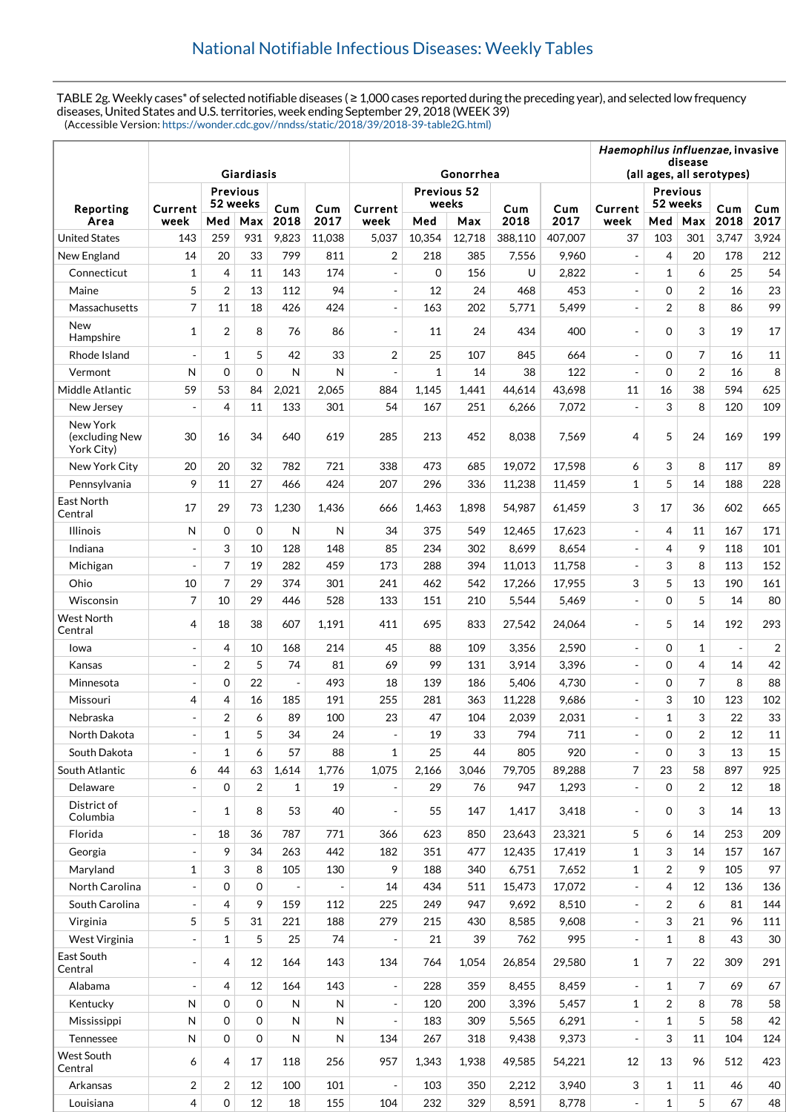TABLE 2g. Weekly cases\* of selected notifiable diseases ( ≥ 1,000 cases reported during the preceding year), and selected low frequency diseases, United States and U.S. territories, week ending September 29, 2018 (WEEK 39) (Accessible Version: [https://wonder.cdc.gov//nndss/static/2018/39/2018-39-table2G.html\)](https://wonder.cdc.gov//nndss/static/2018/39/2018-39-table2G.html)

|                                          |                          |                |             |                          |              |                          | Haemophilus influenzae, invasive     |        |         |         |                          |                |                |                          |            |
|------------------------------------------|--------------------------|----------------|-------------|--------------------------|--------------|--------------------------|--------------------------------------|--------|---------|---------|--------------------------|----------------|----------------|--------------------------|------------|
|                                          |                          |                | Giardiasis  |                          |              |                          | disease<br>(all ages, all serotypes) |        |         |         |                          |                |                |                          |            |
|                                          | Previous                 |                |             |                          |              | Gonorrhea<br>Previous 52 |                                      |        |         |         | <b>Previous</b>          |                |                |                          |            |
| Reporting                                | Current                  |                | 52 weeks    |                          | Cum          | Current                  | weeks                                |        | Cum     | Cum     | Current                  | 52 weeks       |                | Cum                      | Cum        |
| Area                                     | week                     | Med            | Max         | Cum<br>2018              | 2017         | week                     | Med                                  | Max    | 2018    | 2017    | week                     | Med            | Max            | 2018                     | 2017       |
| <b>United States</b>                     | 143                      | 259            | 931         | 9,823                    | 11,038       | 5,037                    | 10,354                               | 12,718 | 388,110 | 407,007 | 37                       | 103            | 301            | 3,747                    | 3,924      |
| New England                              | 14                       | 20             | 33          | 799                      | 811          | $\overline{2}$           | 218                                  | 385    | 7,556   | 9,960   | $\overline{\phantom{a}}$ | 4              | 20             | 178                      | 212        |
| Connecticut                              | $\mathbf 1$              | 4              | 11          | 143                      | 174          | $\overline{a}$           | $\mathbf 0$                          | 156    | U       | 2,822   |                          | $\mathbf{1}$   | 6              | 25                       | 54         |
| Maine                                    | 5                        | $\overline{2}$ | 13          | 112                      | 94           | $\frac{1}{2}$            | 12                                   | 24     | 468     | 453     | $\overline{\phantom{a}}$ | $\mathbf 0$    | $\overline{2}$ | 16                       | 23         |
| Massachusetts                            | 7                        | 11             | 18          | 426                      | 424          | L,                       | 163                                  | 202    | 5,771   | 5,499   |                          | $\overline{2}$ | 8              | 86                       | 99         |
| New<br>Hampshire                         | $\mathbf 1$              | $\overline{2}$ | 8           | 76                       | 86           |                          | 11                                   | 24     | 434     | 400     |                          | 0              | 3              | 19                       | 17         |
| Rhode Island                             | $\overline{\phantom{a}}$ | $\mathbf{1}$   | 5           | 42                       | 33           | $\overline{2}$           | 25                                   | 107    | 845     | 664     | $\overline{\phantom{a}}$ | $\mathbf 0$    | $\overline{7}$ | 16                       | 11         |
| Vermont                                  | N                        | $\Omega$       | $\Omega$    | $\mathsf{N}$             | $\mathsf{N}$ |                          | $\mathbf{1}$                         | 14     | 38      | 122     |                          | $\Omega$       | $\overline{2}$ | 16                       | 8          |
| Middle Atlantic                          | 59                       | 53             | 84          | 2,021                    | 2,065        | 884                      | 1,145                                | 1,441  | 44,614  | 43,698  | 11                       | 16             | 38             | 594                      | 625        |
| New Jersey                               | $\sim$                   | $\overline{4}$ | 11          | 133                      | 301          | 54                       | 167                                  | 251    | 6,266   | 7,072   | $\overline{a}$           | 3              | 8              | 120                      | 109        |
| New York<br>(excluding New<br>York City) | 30                       | 16             | 34          | 640                      | 619          | 285                      | 213                                  | 452    | 8.038   | 7,569   | 4                        | 5              | 24             | 169                      | 199        |
| New York City                            | 20                       | 20             | 32          | 782                      | 721          | 338                      | 473                                  | 685    | 19,072  | 17,598  | 6                        | 3              | 8              | 117                      | 89         |
| Pennsylvania                             | 9                        | 11             | 27          | 466                      | 424          | 207                      | 296                                  | 336    | 11,238  | 11,459  | $\mathbf{1}$             | 5              | 14             | 188                      | 228        |
| East North<br>Central                    | 17                       | 29             | 73          | 1,230                    | 1,436        | 666                      | 1,463                                | 1,898  | 54,987  | 61,459  | 3                        | 17             | 36             | 602                      | 665        |
| Illinois                                 | N                        | $\Omega$       | $\Omega$    | N                        | N            | 34                       | 375                                  | 549    | 12,465  | 17,623  |                          | 4              | 11             | 167                      | 171        |
| Indiana                                  | $\overline{a}$           | 3              | 10          | 128                      | 148          | 85                       | 234                                  | 302    | 8,699   | 8,654   | $\overline{a}$           | 4              | 9              | 118                      | 101        |
| Michigan                                 | $\overline{a}$           | 7              | 19          | 282                      | 459          | 173                      | 288                                  | 394    | 11,013  | 11,758  | $\overline{a}$           | 3              | 8              | 113                      | 152        |
| Ohio                                     | 10                       | 7              | 29          | 374                      | 301          | 241                      | 462                                  | 542    | 17,266  | 17,955  | 3                        | 5              | 13             | 190                      | 161        |
| Wisconsin                                | $\overline{7}$           | 10             | 29          | 446                      | 528          | 133                      | 151                                  | 210    | 5,544   | 5,469   |                          | 0              | 5              | 14                       | 80         |
| <b>West North</b><br>Central             | 4                        | 18             | 38          | 607                      | 1,191        | 411                      | 695                                  | 833    | 27,542  | 24,064  |                          | 5              | 14             | 192                      | 293        |
| lowa                                     | $\overline{\phantom{a}}$ | $\overline{4}$ | 10          | 168                      | 214          | 45                       | 88                                   | 109    | 3,356   | 2,590   | $\overline{\phantom{a}}$ | $\mathbf 0$    | $\mathbf{1}$   | $\overline{\phantom{a}}$ | $\sqrt{2}$ |
| Kansas                                   | $\blacksquare$           | $\overline{2}$ | 5           | 74                       | 81           | 69                       | 99                                   | 131    | 3,914   | 3,396   | $\overline{a}$           | $\Omega$       | $\overline{4}$ | 14                       | 42         |
| Minnesota                                | $\blacksquare$           | $\mathbf 0$    | 22          | $\overline{\phantom{a}}$ | 493          | 18                       | 139                                  | 186    | 5,406   | 4,730   | $\overline{a}$           | $\mathbf 0$    | $\overline{7}$ | 8                        | 88         |
| Missouri                                 | 4                        | 4              | 16          | 185                      | 191          | 255                      | 281                                  | 363    | 11,228  | 9,686   | $\overline{a}$           | 3              | 10             | 123                      | 102        |
| Nebraska                                 | $\overline{\phantom{a}}$ | $\overline{2}$ | 6           | 89                       | 100          | 23                       | 47                                   | 104    | 2,039   | 2,031   |                          | $\mathbf{1}$   | 3              | 22                       | 33         |
| North Dakota                             |                          | 1              | 5           | 34                       | 24           |                          | 19                                   | 33     | 794     | 711     |                          | 0              | $\overline{c}$ | $12\,$                   | 11         |
| South Dakota                             | $\overline{\phantom{a}}$ | $\mathbf{1}$   | 6           | 57                       | 88           | $\mathbf{1}$             | 25                                   | 44     | 805     | 920     |                          | $\mathbf 0$    | 3              | 13                       | 15         |
| South Atlantic                           | 6                        | 44             | 63          | 1,614                    | 1,776        | 1,075                    | 2,166                                | 3,046  | 79,705  | 89,288  | $\overline{7}$           | 23             | 58             | 897                      | 925        |
| Delaware                                 | $\overline{\phantom{a}}$ | $\mathbf 0$    | 2           | 1                        | 19           |                          | 29                                   | 76     | 947     | 1,293   | $\overline{\phantom{a}}$ | $\mathbf 0$    | $\overline{2}$ | 12                       | 18         |
| District of<br>Columbia                  | $\blacksquare$           | 1              | 8           | 53                       | 40           |                          | 55                                   | 147    | 1,417   | 3,418   | $\sim$                   | $\mathbf 0$    | 3              | 14                       | 13         |
| Florida                                  | $\overline{\phantom{a}}$ | 18             | 36          | 787                      | 771          | 366                      | 623                                  | 850    | 23,643  | 23,321  | 5                        | 6              | 14             | 253                      | 209        |
| Georgia                                  | $\Box$                   | 9              | 34          | 263                      | 442          | 182                      | 351                                  | 477    | 12,435  | 17,419  | 1                        | 3              | 14             | 157                      | 167        |
| Maryland                                 | $\mathbf{1}$             | 3              | 8           | 105                      | 130          | 9                        | 188                                  | 340    | 6,751   | 7,652   | 1                        | $\overline{2}$ | 9              | 105                      | 97         |
| North Carolina                           | $\blacksquare$           | $\mathbf 0$    | 0           |                          |              | 14                       | 434                                  | 511    | 15,473  | 17,072  |                          | 4              | 12             | 136                      | 136        |
| South Carolina                           | $\overline{\phantom{a}}$ | $\overline{4}$ | 9           | 159                      | 112          | 225                      | 249                                  | 947    | 9,692   | 8,510   |                          | $\overline{2}$ | 6              | 81                       | 144        |
| Virginia                                 | 5                        | 5              | 31          | 221                      | 188          | 279                      | 215                                  | 430    | 8,585   | 9,608   | $\overline{\phantom{a}}$ | 3              | 21             | 96                       | 111        |
| West Virginia                            | $\overline{\phantom{a}}$ | $\mathbf{1}$   | 5           | 25                       | 74           |                          | 21                                   | 39     | 762     | 995     |                          | $\mathbf{1}$   | 8              | 43                       | 30         |
| East South<br>Central                    | $\overline{\phantom{a}}$ | 4              | 12          | 164                      | 143          | 134                      | 764                                  | 1,054  | 26,854  | 29,580  | $\mathbf{1}$             | 7              | 22             | 309                      | 291        |
| Alabama                                  | $\blacksquare$           | $\overline{4}$ | 12          | 164                      | 143          | ÷,                       | 228                                  | 359    | 8,455   | 8,459   |                          | $\mathbf{1}$   | $\overline{7}$ | 69                       | 67         |
| Kentucky                                 | Ν                        | $\mathbf 0$    | 0           | $\mathsf{N}$             | N            | $\overline{\phantom{a}}$ | 120                                  | 200    | 3,396   | 5,457   | 1                        | $\overline{2}$ | 8              | 78                       | 58         |
| Mississippi                              | N                        | $\mathbf 0$    | 0           | N                        | ${\sf N}$    |                          | 183                                  | 309    | 5,565   | 6,291   |                          | $\mathbf{1}$   | 5              | 58                       | 42         |
| Tennessee                                | N                        | $\mathbf 0$    | $\mathbf 0$ | N                        | ${\sf N}$    | 134                      | 267                                  | 318    | 9,438   | 9,373   |                          | 3              | 11             | 104                      | 124        |
| West South<br>Central                    | 6                        | 4              | 17          | 118                      | 256          | 957                      | 1,343                                | 1,938  | 49,585  | 54,221  | 12                       | 13             | 96             | 512                      | 423        |
| Arkansas                                 | 2                        | 2              | 12          | 100                      | 101          |                          | 103                                  | 350    | 2,212   | 3,940   | 3                        | $\mathbf{1}$   | 11             | 46                       | 40         |
| Louisiana                                | 4                        | $\mathbf 0$    | 12          | 18                       | 155          | 104                      | 232                                  | 329    | 8,591   | 8,778   | $\overline{\phantom{a}}$ | $\mathbf{1}$   | 5              | 67                       | 48         |